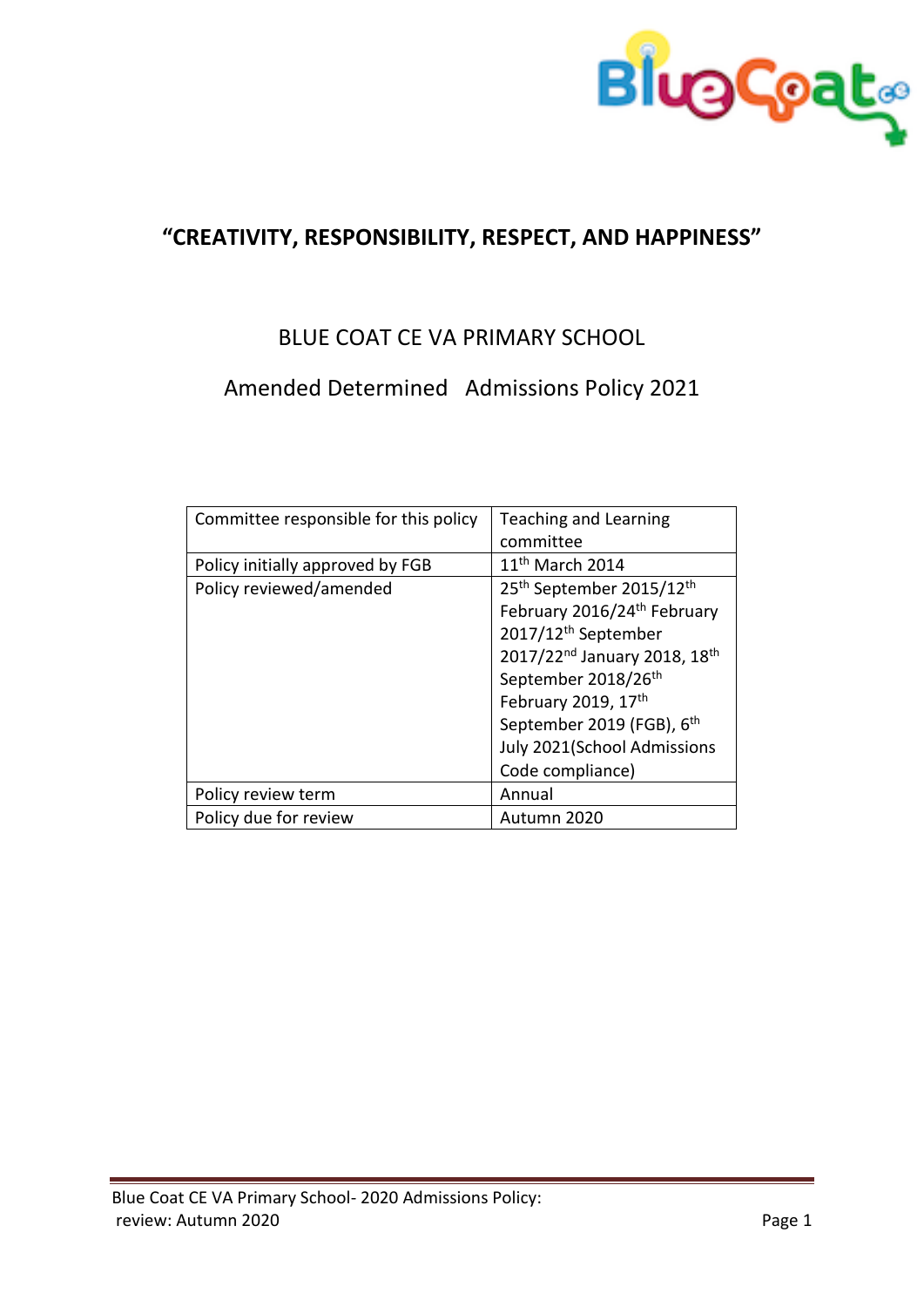

## **"CREATIVITY, RESPONSIBILITY, RESPECT, AND HAPPINESS"**

## BLUE COAT CE VA PRIMARY SCHOOL

# Amended Determined Admissions Policy 2021

| Committee responsible for this policy | Teaching and Learning                                |
|---------------------------------------|------------------------------------------------------|
|                                       | committee                                            |
| Policy initially approved by FGB      | $11th$ March 2014                                    |
| Policy reviewed/amended               | 25 <sup>th</sup> September 2015/12 <sup>th</sup>     |
|                                       | February 2016/24 <sup>th</sup> February              |
|                                       | 2017/12 <sup>th</sup> September                      |
|                                       | 2017/22 <sup>nd</sup> January 2018, 18 <sup>th</sup> |
|                                       | September 2018/26th                                  |
|                                       | February 2019, 17th                                  |
|                                       | September 2019 (FGB), 6 <sup>th</sup>                |
|                                       | July 2021(School Admissions                          |
|                                       | Code compliance)                                     |
| Policy review term                    | Annual                                               |
| Policy due for review                 | Autumn 2020                                          |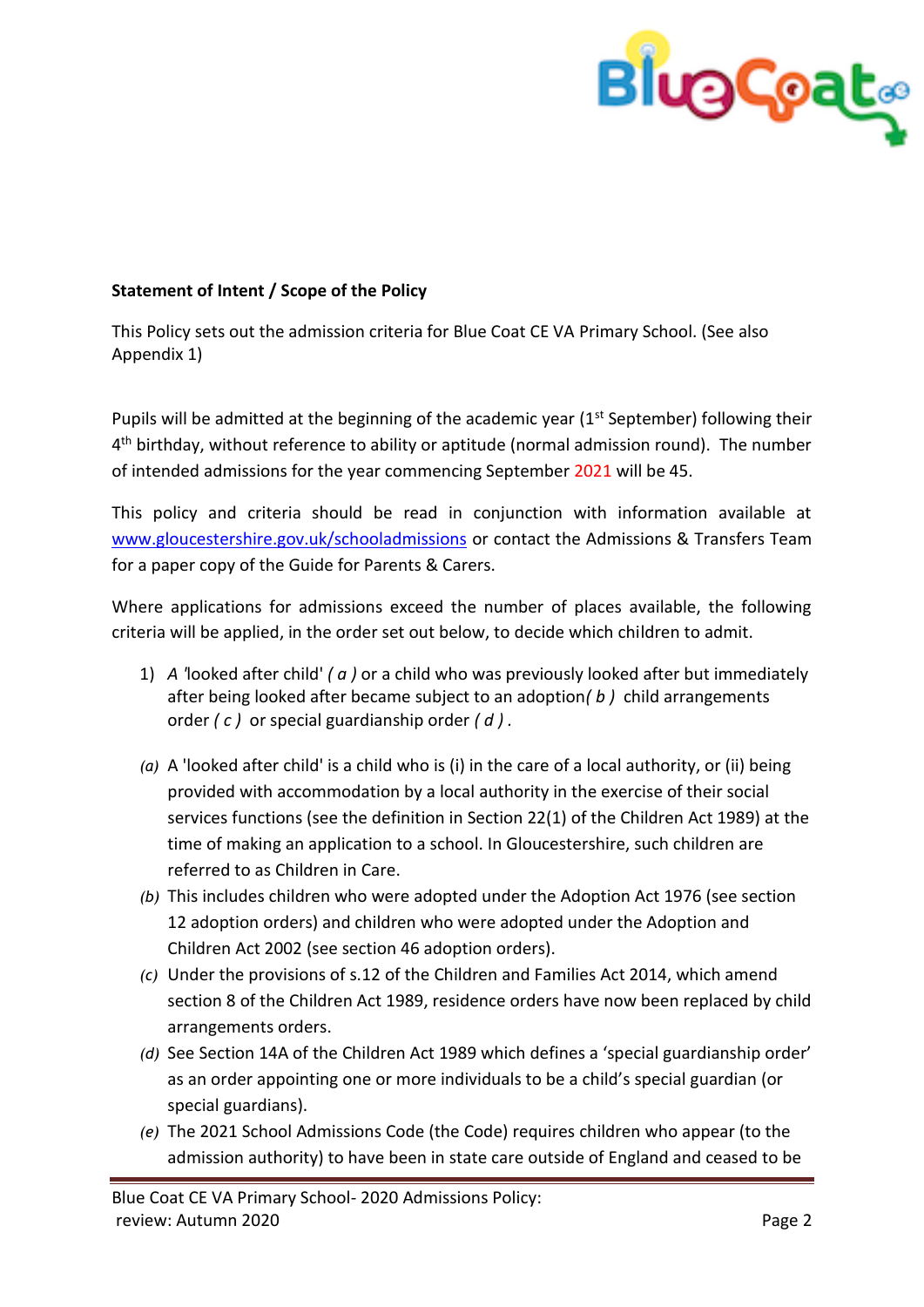

## **Statement of Intent / Scope of the Policy**

This Policy sets out the admission criteria for Blue Coat CE VA Primary School. (See also Appendix 1)

Pupils will be admitted at the beginning of the academic year (1<sup>st</sup> September) following their 4<sup>th</sup> birthday, without reference to ability or aptitude (normal admission round). The number of intended admissions for the year commencing September 2021 will be 45.

This policy and criteria should be read in conjunction with information available at [www.gloucestershire.gov.uk/schooladmissions](http://www.gloucestershire.gov.uk/schooladmissions) or contact the Admissions & Transfers Team for a paper copy of the Guide for Parents & Carers.

Where applications for admissions exceed the number of places available, the following criteria will be applied, in the order set out below, to decide which children to admit.

- 1) *A '*looked after child' *( a )* or a child who was previously looked after but immediately after being looked after became subject to an adoption*( b )* child arrangements order *( c )* or special guardianship order *( d ) .*
- *(a)* A 'looked after child' is a child who is (i) in the care of a local authority, or (ii) being provided with accommodation by a local authority in the exercise of their social services functions (see the definition in Section 22(1) of the Children Act 1989) at the time of making an application to a school. In Gloucestershire, such children are referred to as Children in Care.
- *(b)* This includes children who were adopted under the Adoption Act 1976 (see section 12 adoption orders) and children who were adopted under the Adoption and Children Act 2002 (see section 46 adoption orders).
- *(c)* Under the provisions of s.12 of the Children and Families Act 2014, which amend section 8 of the Children Act 1989, residence orders have now been replaced by child arrangements orders.
- *(d)* See Section 14A of the Children Act 1989 which defines a 'special guardianship order' as an order appointing one or more individuals to be a child's special guardian (or special guardians).
- *(e)* The 2021 School Admissions Code (the Code) requires children who appear (to the admission authority) to have been in state care outside of England and ceased to be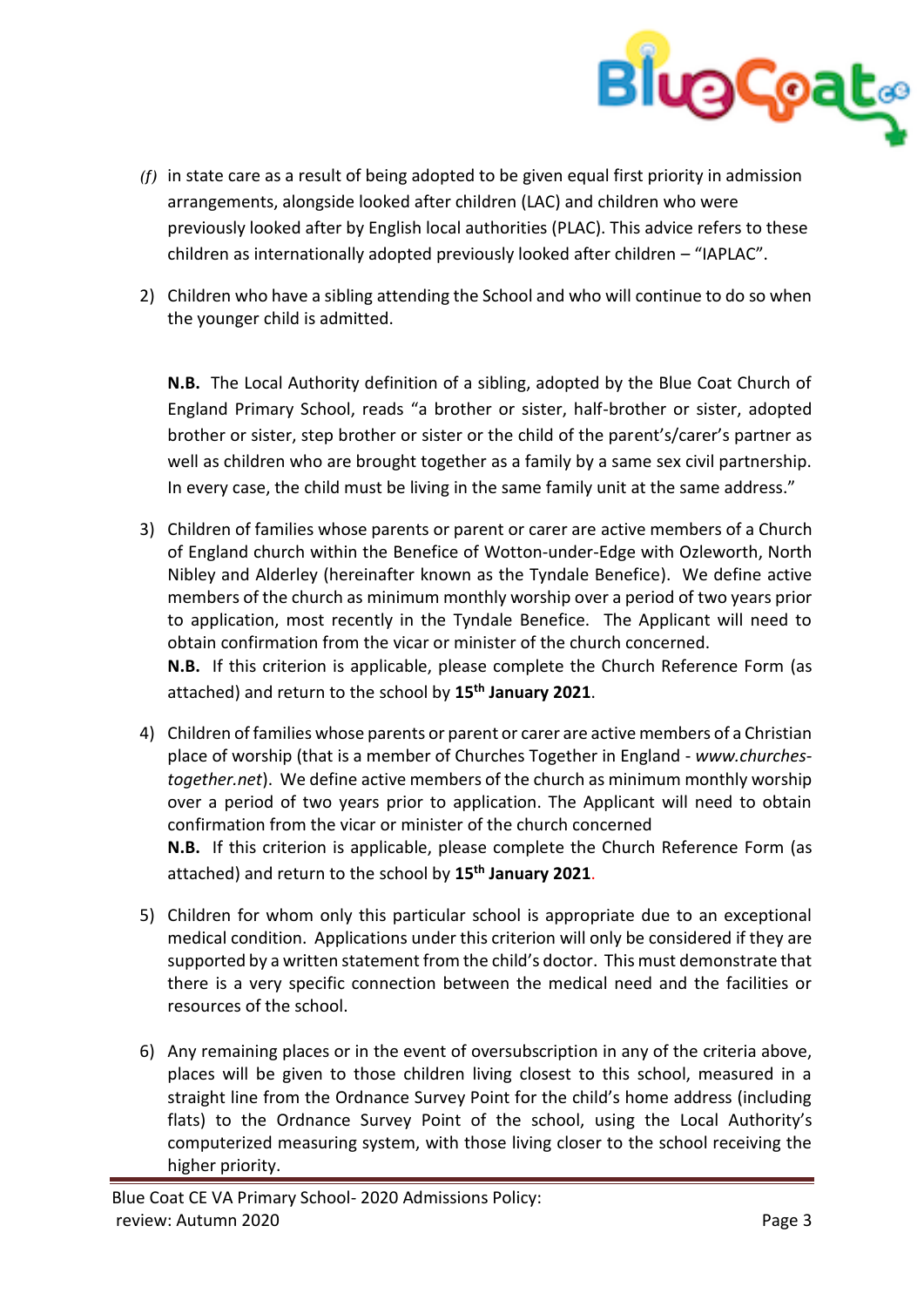

- *(f)* in state care as a result of being adopted to be given equal first priority in admission arrangements, alongside looked after children (LAC) and children who were previously looked after by English local authorities (PLAC). This advice refers to these children as internationally adopted previously looked after children – "IAPLAC".
- 2) Children who have a sibling attending the School and who will continue to do so when the younger child is admitted.

**N.B.** The Local Authority definition of a sibling, adopted by the Blue Coat Church of England Primary School, reads "a brother or sister, half-brother or sister, adopted brother or sister, step brother or sister or the child of the parent's/carer's partner as well as children who are brought together as a family by a same sex civil partnership. In every case, the child must be living in the same family unit at the same address."

3) Children of families whose parents or parent or carer are active members of a Church of England church within the Benefice of Wotton-under-Edge with Ozleworth, North Nibley and Alderley (hereinafter known as the Tyndale Benefice). We define active members of the church as minimum monthly worship over a period of two years prior to application, most recently in the Tyndale Benefice. The Applicant will need to obtain confirmation from the vicar or minister of the church concerned.

**N.B.** If this criterion is applicable, please complete the Church Reference Form (as attached) and return to the school by **15th January 2021**.

- 4) Children of families whose parents or parent or carer are active members of a Christian place of worship (that is a member of Churches Together in England - *www.churchestogether.net*). We define active members of the church as minimum monthly worship over a period of two years prior to application. The Applicant will need to obtain confirmation from the vicar or minister of the church concerned **N.B.** If this criterion is applicable, please complete the Church Reference Form (as attached) and return to the school by **15th January 2021**.
- 5) Children for whom only this particular school is appropriate due to an exceptional medical condition. Applications under this criterion will only be considered if they are supported by a written statement from the child's doctor. This must demonstrate that there is a very specific connection between the medical need and the facilities or resources of the school.
- 6) Any remaining places or in the event of oversubscription in any of the criteria above, places will be given to those children living closest to this school, measured in a straight line from the Ordnance Survey Point for the child's home address (including flats) to the Ordnance Survey Point of the school, using the Local Authority's computerized measuring system, with those living closer to the school receiving the higher priority.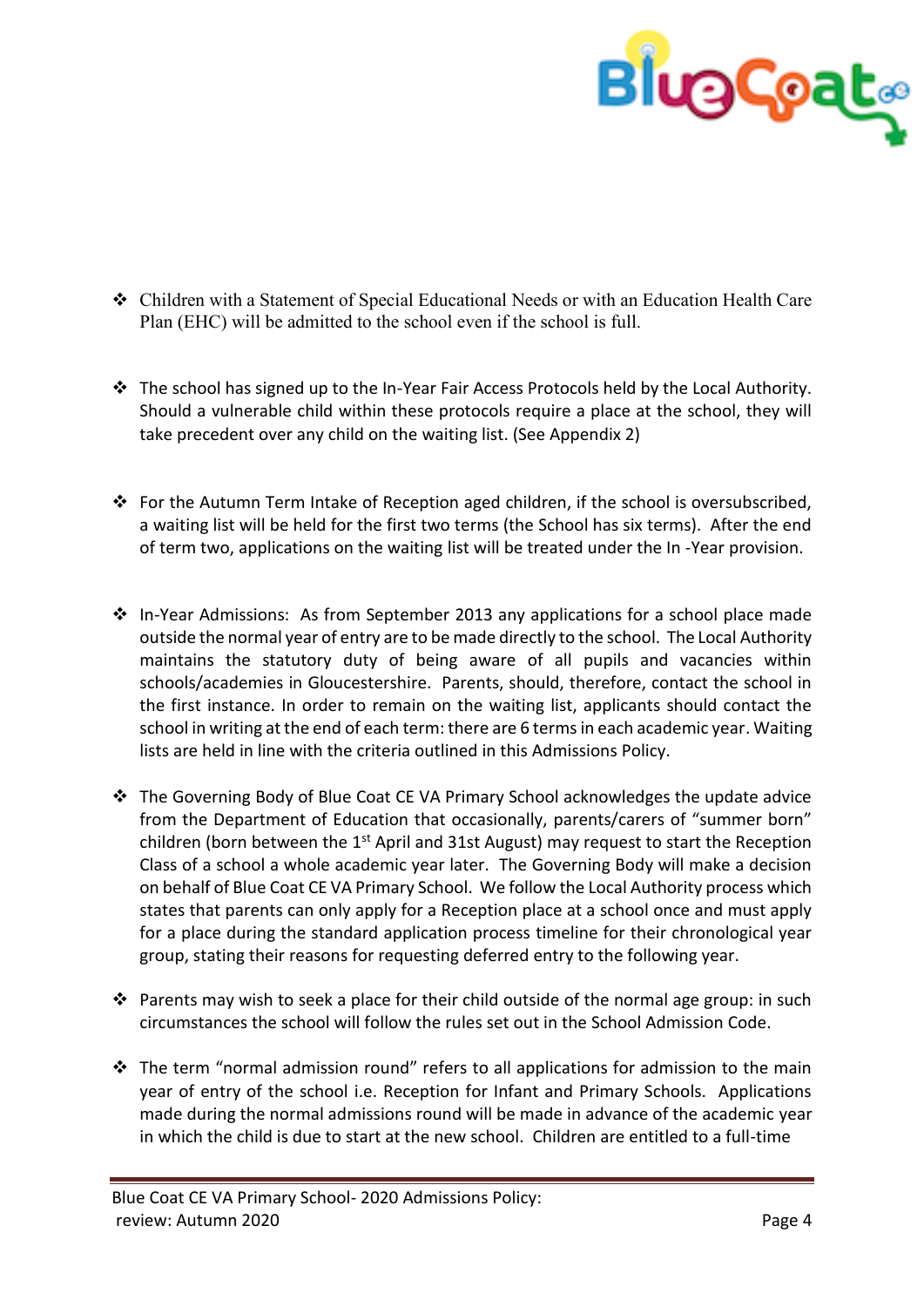

- Children with a Statement of Special Educational Needs or with an Education Health Care Plan (EHC) will be admitted to the school even if the school is full.
- \* The school has signed up to the In-Year Fair Access Protocols held by the Local Authority. Should a vulnerable child within these protocols require a place at the school, they will take precedent over any child on the waiting list. (See Appendix 2)
- \* For the Autumn Term Intake of Reception aged children, if the school is oversubscribed, a waiting list will be held for the first two terms (the School has six terms). After the end of term two, applications on the waiting list will be treated under the In -Year provision.
- $\cdot \cdot$  In-Year Admissions: As from September 2013 any applications for a school place made outside the normal year of entry are to be made directly to the school. The Local Authority maintains the statutory duty of being aware of all pupils and vacancies within schools/academies in Gloucestershire. Parents, should, therefore, contact the school in the first instance. In order to remain on the waiting list, applicants should contact the school in writing at the end of each term: there are 6 terms in each academic year. Waiting lists are held in line with the criteria outlined in this Admissions Policy.
- $\cdot \cdot$  The Governing Body of Blue Coat CE VA Primary School acknowledges the update advice from the Department of Education that occasionally, parents/carers of "summer born" children (born between the  $1<sup>st</sup>$  April and 31st August) may request to start the Reception Class of a school a whole academic year later. The Governing Body will make a decision on behalf of Blue Coat CE VA Primary School. We follow the Local Authority process which states that parents can only apply for a Reception place at a school once and must apply for a place during the standard application process timeline for their chronological year group, stating their reasons for requesting deferred entry to the following year.
- $\cdot$  Parents may wish to seek a place for their child outside of the normal age group: in such circumstances the school will follow the rules set out in the School Admission Code.
- $\cdot \cdot$  The term "normal admission round" refers to all applications for admission to the main year of entry of the school i.e. Reception for Infant and Primary Schools. Applications made during the normal admissions round will be made in advance of the academic year in which the child is due to start at the new school. Children are entitled to a full-time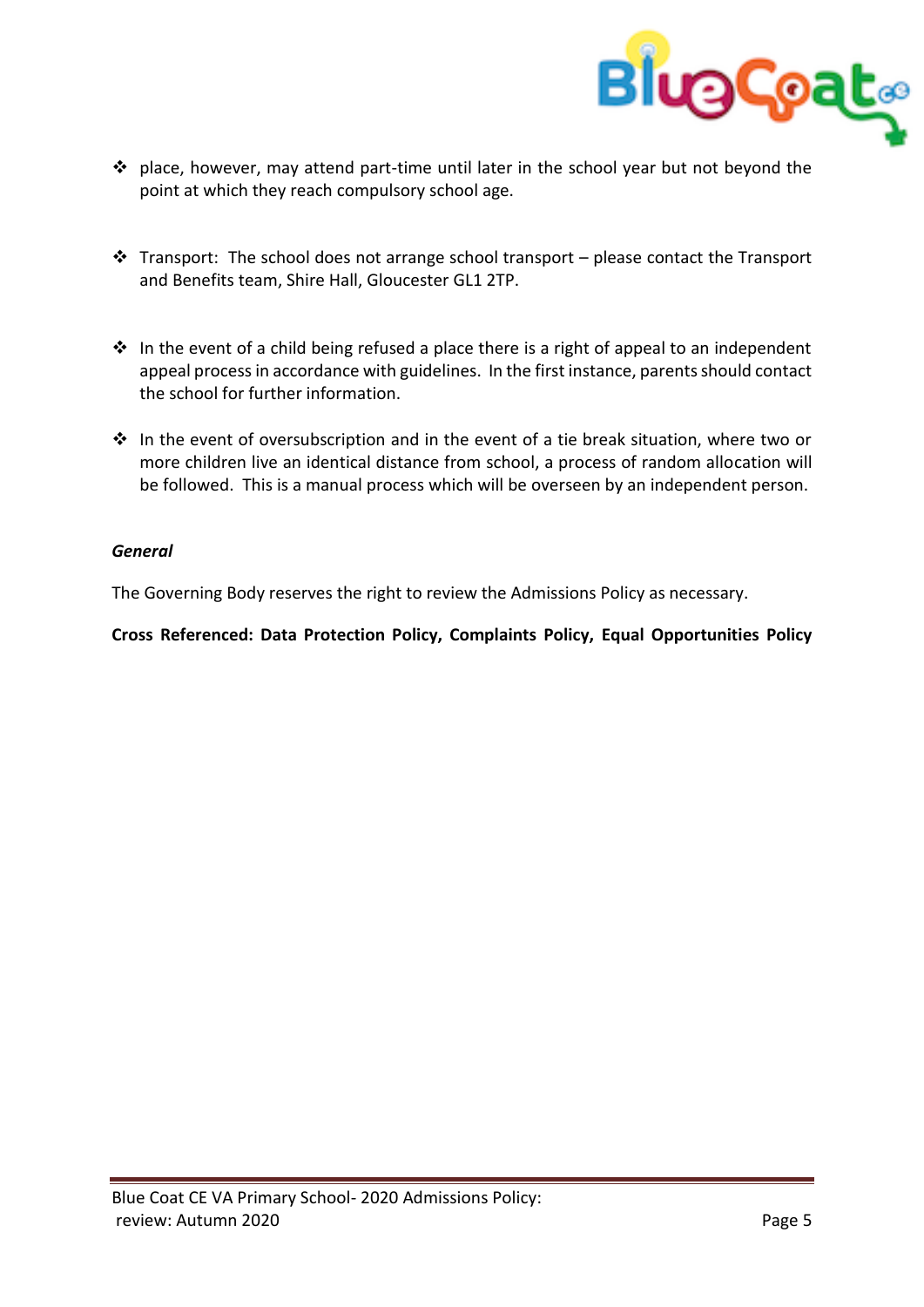

- $\cdot \cdot$  place, however, may attend part-time until later in the school year but not beyond the point at which they reach compulsory school age.
- $\cdot \cdot$  Transport: The school does not arrange school transport please contact the Transport and Benefits team, Shire Hall, Gloucester GL1 2TP.
- $\cdot$  In the event of a child being refused a place there is a right of appeal to an independent appeal process in accordance with guidelines. In the first instance, parents should contact the school for further information.
- $\cdot \cdot$  In the event of oversubscription and in the event of a tie break situation, where two or more children live an identical distance from school, a process of random allocation will be followed. This is a manual process which will be overseen by an independent person.

### *General*

The Governing Body reserves the right to review the Admissions Policy as necessary.

**Cross Referenced: Data Protection Policy, Complaints Policy, Equal Opportunities Policy**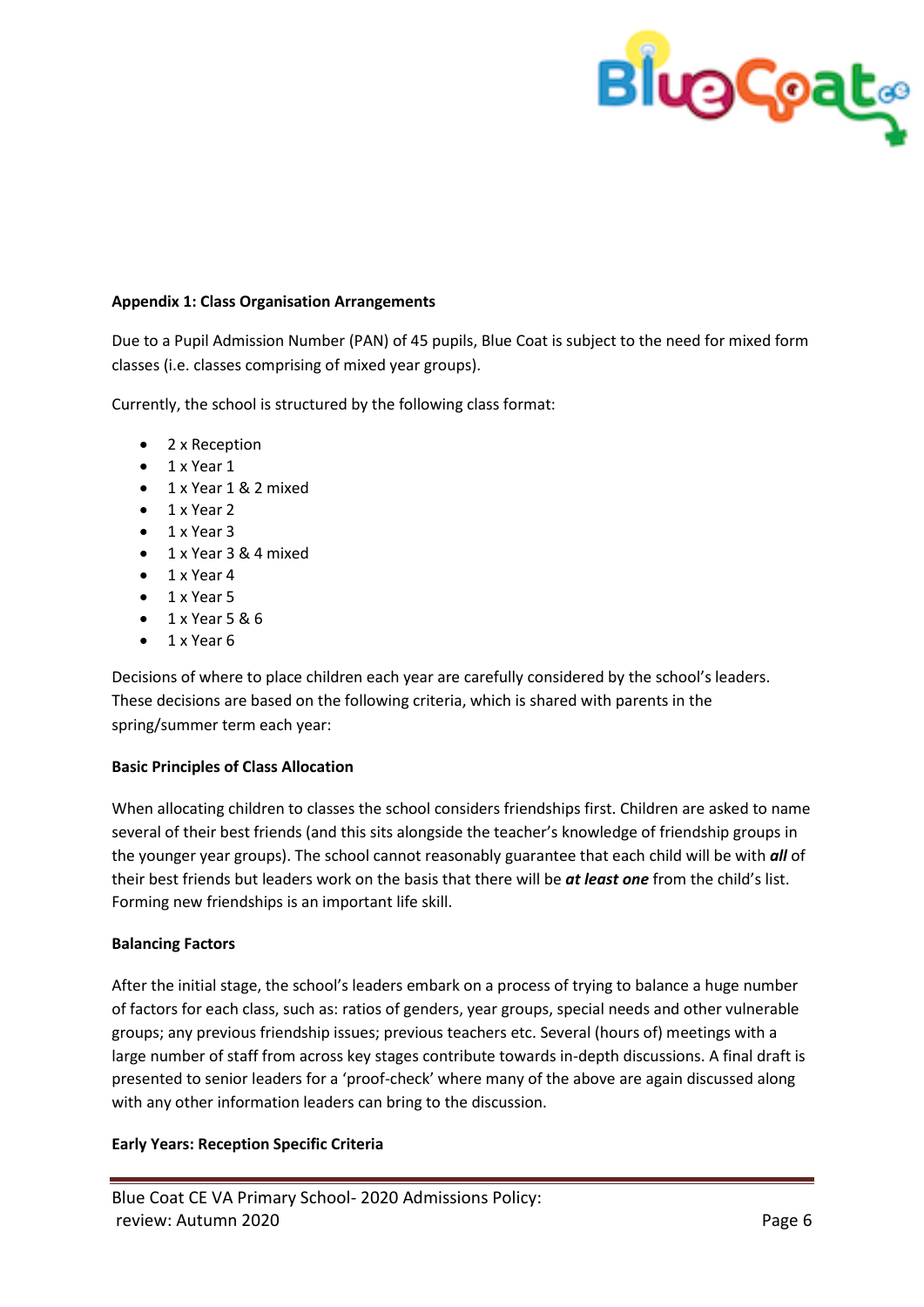

#### **Appendix 1: Class Organisation Arrangements**

Due to a Pupil Admission Number (PAN) of 45 pupils, Blue Coat is subject to the need for mixed form classes (i.e. classes comprising of mixed year groups).

Currently, the school is structured by the following class format:

- 2 x Reception
- $\bullet$  1 x Year 1
- 1 x Year 1 & 2 mixed
- $\bullet$  1 x Year 2
- $\bullet$  1 x Year 3
- 1 x Year 3 & 4 mixed
- $\bullet$  1 x Year 4
- $\bullet$  1 x Year 5
- $-1$  x Year 5 & 6
- 1 x Year 6

Decisions of where to place children each year are carefully considered by the school's leaders. These decisions are based on the following criteria, which is shared with parents in the spring/summer term each year:

#### **Basic Principles of Class Allocation**

When allocating children to classes the school considers friendships first. Children are asked to name several of their best friends (and this sits alongside the teacher's knowledge of friendship groups in the younger year groups). The school cannot reasonably guarantee that each child will be with *all* of their best friends but leaders work on the basis that there will be *at least one* from the child's list. Forming new friendships is an important life skill.

#### **Balancing Factors**

After the initial stage, the school's leaders embark on a process of trying to balance a huge number of factors for each class, such as: ratios of genders, year groups, special needs and other vulnerable groups; any previous friendship issues; previous teachers etc. Several (hours of) meetings with a large number of staff from across key stages contribute towards in-depth discussions. A final draft is presented to senior leaders for a 'proof-check' where many of the above are again discussed along with any other information leaders can bring to the discussion.

#### **Early Years: Reception Specific Criteria**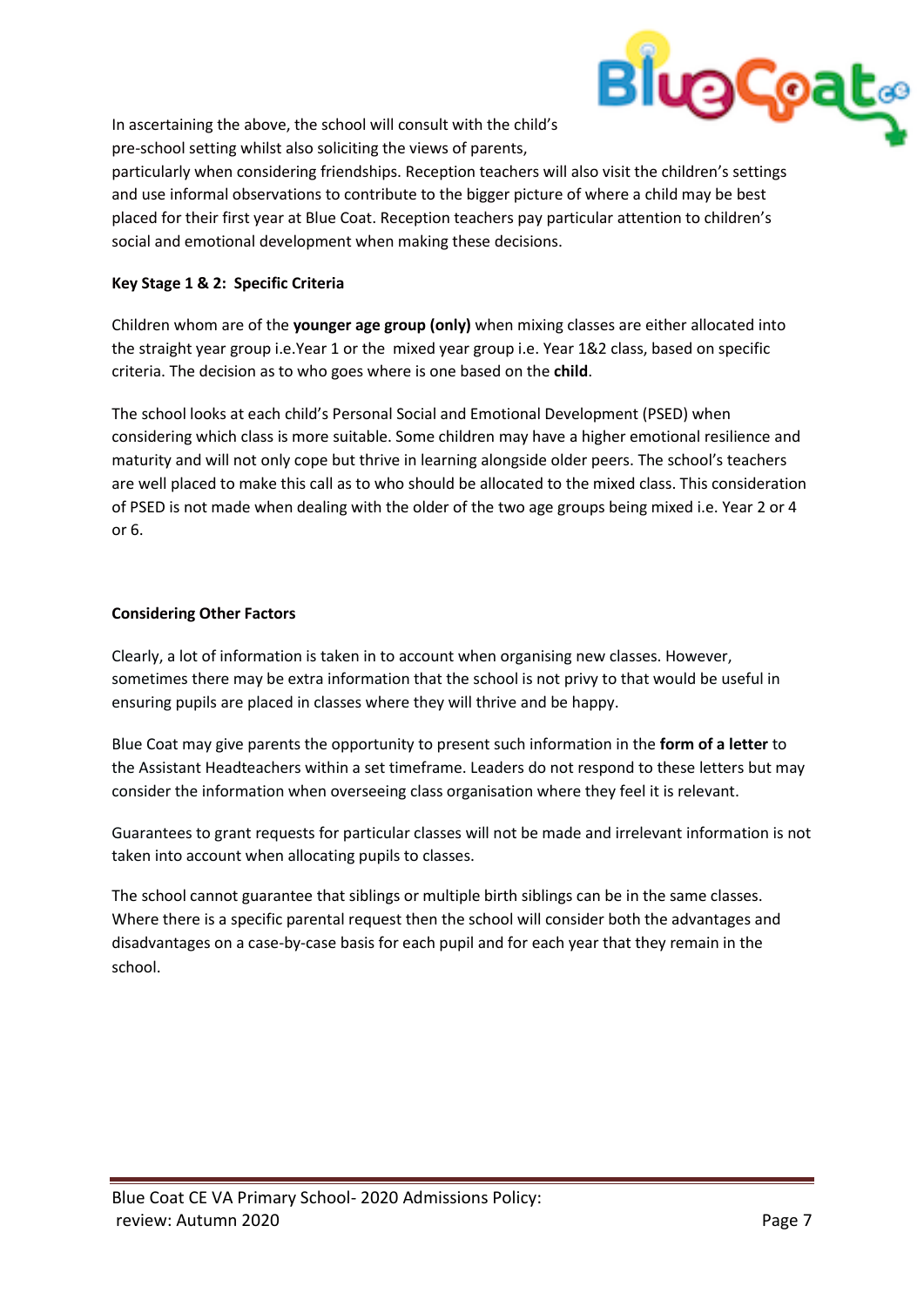

In ascertaining the above, the school will consult with the child's pre-school setting whilst also soliciting the views of parents,

particularly when considering friendships. Reception teachers will also visit the children's settings and use informal observations to contribute to the bigger picture of where a child may be best placed for their first year at Blue Coat. Reception teachers pay particular attention to children's social and emotional development when making these decisions.

### **Key Stage 1 & 2: Specific Criteria**

Children whom are of the **younger age group (only)** when mixing classes are either allocated into the straight year group i.e.Year 1 or the mixed year group i.e. Year 1&2 class, based on specific criteria. The decision as to who goes where is one based on the **child**.

The school looks at each child's Personal Social and Emotional Development (PSED) when considering which class is more suitable. Some children may have a higher emotional resilience and maturity and will not only cope but thrive in learning alongside older peers. The school's teachers are well placed to make this call as to who should be allocated to the mixed class. This consideration of PSED is not made when dealing with the older of the two age groups being mixed i.e. Year 2 or 4 or 6.

#### **Considering Other Factors**

Clearly, a lot of information is taken in to account when organising new classes. However, sometimes there may be extra information that the school is not privy to that would be useful in ensuring pupils are placed in classes where they will thrive and be happy.

Blue Coat may give parents the opportunity to present such information in the **form of a letter** to the Assistant Headteachers within a set timeframe. Leaders do not respond to these letters but may consider the information when overseeing class organisation where they feel it is relevant.

Guarantees to grant requests for particular classes will not be made and irrelevant information is not taken into account when allocating pupils to classes.

The school cannot guarantee that siblings or multiple birth siblings can be in the same classes. Where there is a specific parental request then the school will consider both the advantages and disadvantages on a case-by-case basis for each pupil and for each year that they remain in the school.